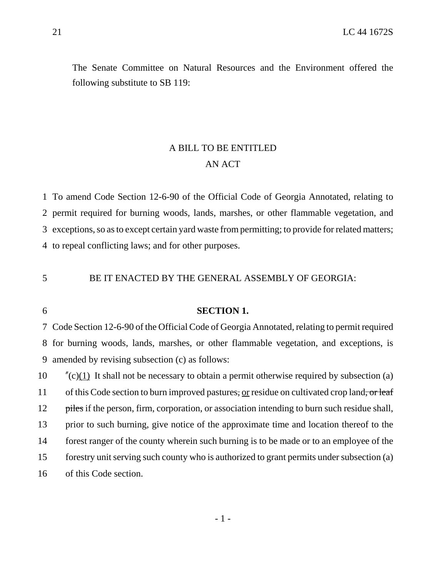The Senate Committee on Natural Resources and the Environment offered the following substitute to SB 119:

## A BILL TO BE ENTITLED AN ACT

 To amend Code Section 12-6-90 of the Official Code of Georgia Annotated, relating to permit required for burning woods, lands, marshes, or other flammable vegetation, and exceptions, so as to except certain yard waste from permitting; to provide for related matters; to repeal conflicting laws; and for other purposes.

BE IT ENACTED BY THE GENERAL ASSEMBLY OF GEORGIA:

## **SECTION 1.**

 Code Section 12-6-90 of the Official Code of Georgia Annotated, relating to permit required for burning woods, lands, marshes, or other flammable vegetation, and exceptions, is amended by revising subsection (c) as follows:

 "(c)(1) It shall not be necessary to obtain a permit otherwise required by subsection (a) 11 of this Code section to burn improved pastures, or residue on cultivated crop land, or leaf 12 piles if the person, firm, corporation, or association intending to burn such residue shall, prior to such burning, give notice of the approximate time and location thereof to the forest ranger of the county wherein such burning is to be made or to an employee of the forestry unit serving such county who is authorized to grant permits under subsection (a) of this Code section.